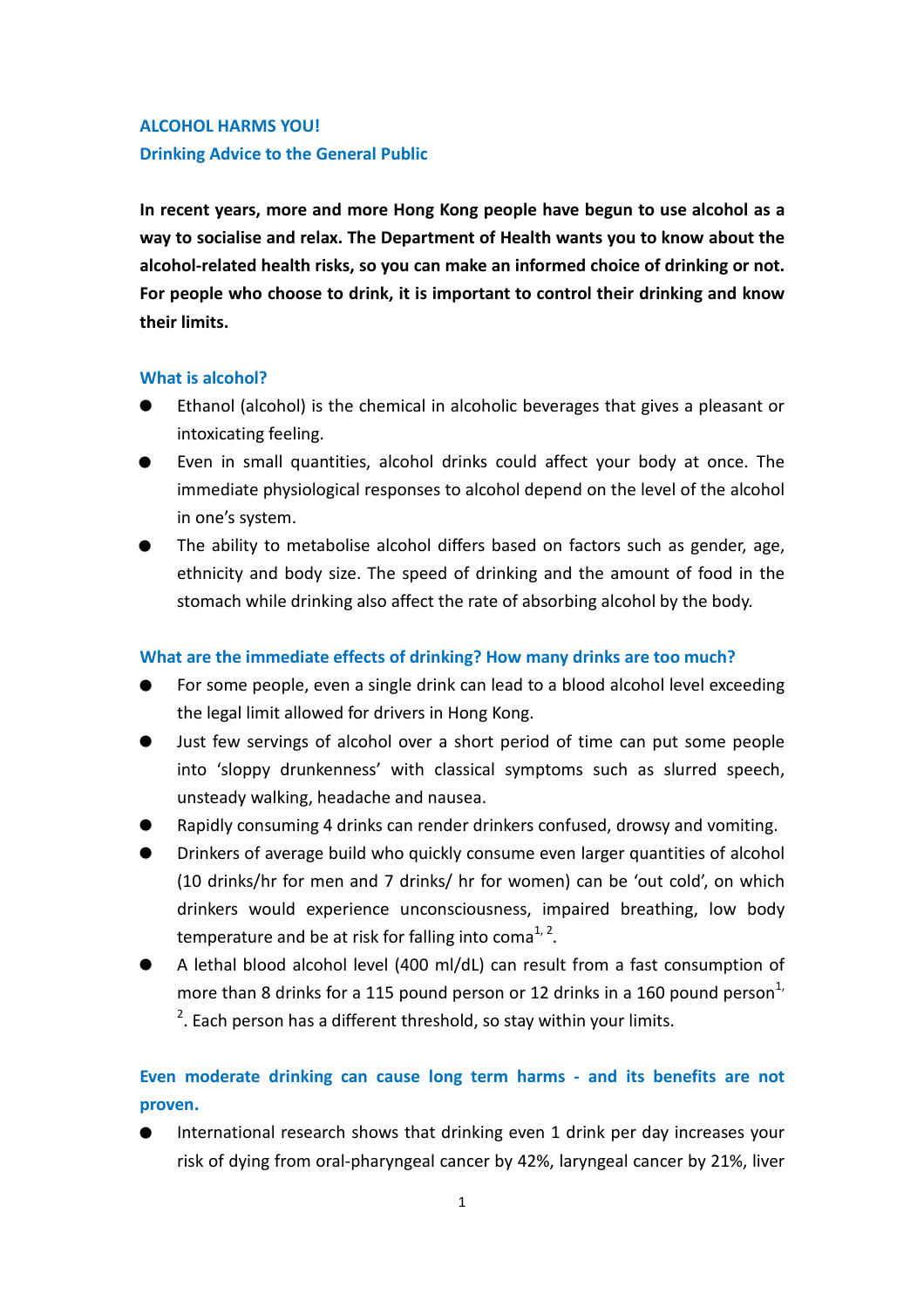## **ALCOHOL HARMS YOU! Drinking Advice to the General Public**

**In recent years, more and more Hong Kong people have begun to use alcohol as a way to socialise and relax. The Department of Health wants you to know about the alcohol-related health risks, so you can make an informed choice of drinking or not. For people who choose to drink, it is important to control their drinking and know their limits.** 

### **What is alcohol?**

- Ethanol (alcohol) is the chemical in alcoholic beverages that gives a pleasant or intoxicating feeling. .<br>.<br>● .
- Even in small quantities, alcohol drinks could affect your body at once. The immediate physiological responses to alcohol depend on the level of the alcohol in one's system. .
- The ability to metabolise alcohol differs based on factors such as gender, age, ethnicity and body size. The speed of drinking and the amount of food in the stomach while drinking also affect the rate of absorbing alcohol by the body.

### **What are the immediate effects of drinking? How many drinks are too much?**

- For some people, even a single drink can lead to a blood alcohol level exceeding the legal limit allowed for drivers in Hong Kong. .<br>.<br>● .
- Just few servings of alcohol over a short period of time can put some people into 'sloppy drunkenness' with classical symptoms such as slurred speech, unsteady walking, headache and nausea. .
- Rapidly consuming 4 drinks can render drinkers confused, drowsy and vomiting.
- Drinkers of average build who quickly consume even larger quantities of alcohol (10 drinks/hr for men and 7 drinks/ hr for women) can be 'out cold', on which drinkers would experience unconsciousness, impaired breathing, low body temperature and be at risk for falling into coma $^{1, 2}$ . . .
- A lethal blood alcohol level (400 ml/dL) can result from a fast consumption of more than 8 drinks for a 115 pound person or 12 drinks in a 160 pound person<sup>1,</sup>  $2$ . Each person has a different threshold, so stay within your limits.

# **Even moderate drinking can cause long term harms - and its benefits are not proven.**<br>
• International research shows that drinking even 1 drink per day increases your<br>
risk of dving from oral-pharymood cancer by 42% Jarym **proven.**

International research shows that drinking even 1 drink per day increases your risk of dying from oral-pharyngeal cancer by 42%, laryngeal cancer by 21%, liver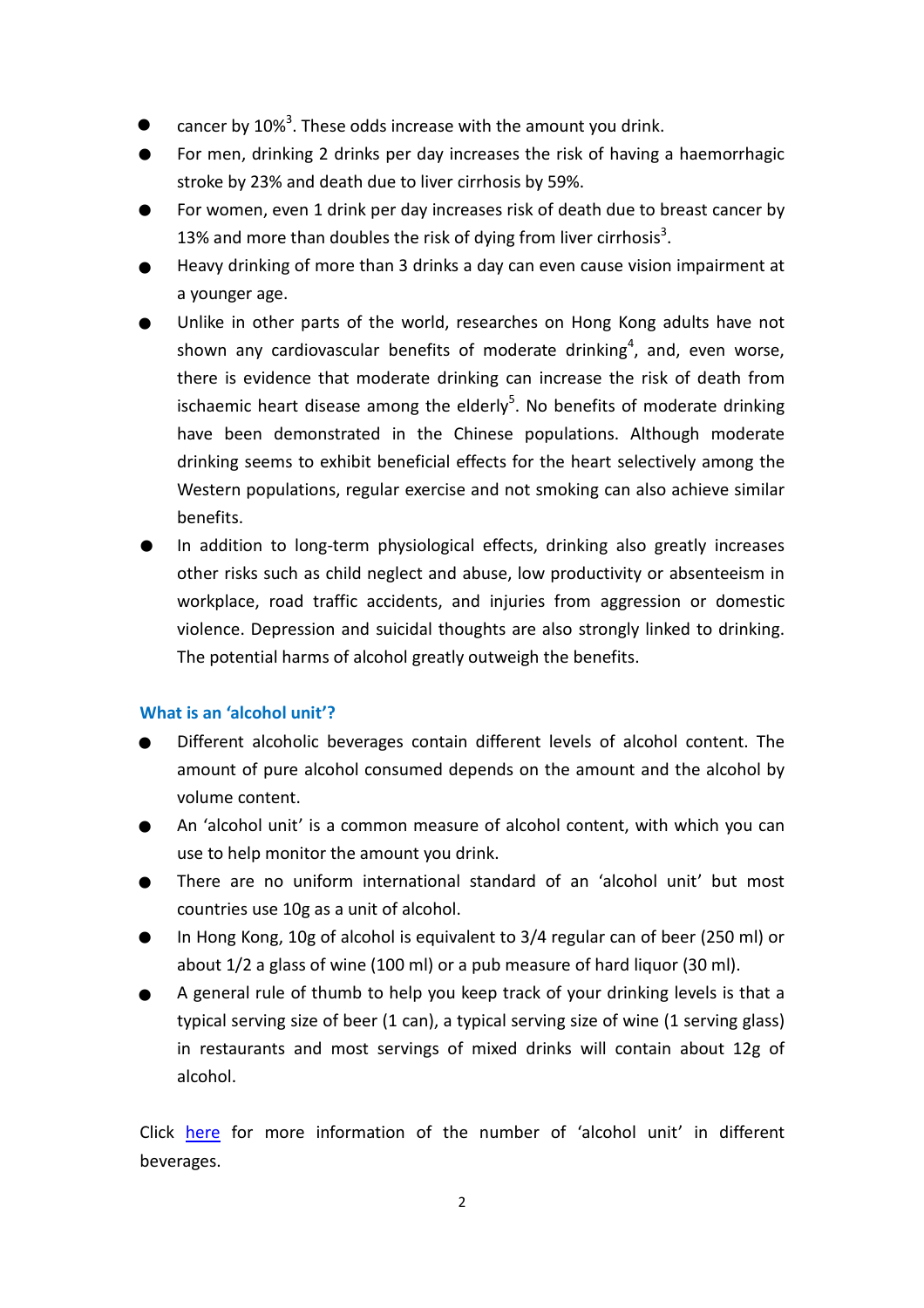- cancer by 10%<sup>3</sup>. These odds increase with the amount you drink. .
- For men, drinking 2 drinks per day increases the risk of having a haemorrhagic stroke by 23% and death due to liver cirrhosis by 59%. . .
- For women, even 1 drink per day increases risk of death due to breast cancer by 13% and more than doubles the risk of dying from liver cirrhosis<sup>3</sup>. .
- Heavy drinking of more than 3 drinks a day can even cause vision impairment at a younger age. .
- Unlike in other parts of the world, researches on Hong Kong adults have not shown any cardiovascular benefits of moderate drinking<sup>4</sup>, and, even worse, there is evidence that moderate drinking can increase the risk of death from ischaemic heart disease among the elderly<sup>5</sup>. No benefits of moderate drinking have been demonstrated in the Chinese populations. Although moderate drinking seems to exhibit beneficial effects for the heart selectively among the Western populations, regular exercise and not smoking can also achieve similar benefits. .
- In addition to long-term physiological effects, drinking also greatly increases other risks such as child neglect and abuse, low productivity or absenteeism in workplace, road traffic accidents, and injuries from aggression or domestic violence. Depression and suicidal thoughts are also strongly linked to drinking. The potential harms of alcohol greatly outweigh the benefits.

### **What is an 'alcohol unit'?**

- Different alcoholic beverages contain different levels of alcohol content. The amount of pure alcohol consumed depends on the amount and the alcohol by volume content. . .
- An 'alcohol unit' is a common measure of alcohol content, with which you can use to help monitor the amount you drink. .
- There are no uniform international standard of an 'alcohol unit' but most countries use 10g as a unit of alcohol. .
- In Hong Kong, 10g of alcohol is equivalent to 3/4 regular can of beer (250 ml) or about 1/2 a glass of wine (100 ml) or a pub measure of hard liquor (30 ml). .
- A general rule of thumb to help you keep track of your drinking levels is that a typical serving size of beer (1 can), a typical serving size of wine (1 serving glass) in restaurants and most servings of mixed drinks will contain about 12g of alcohol.

Click [here](http://www.change4health.gov.hk/en/alcohol_aware/facts/standard_drink/examples/index.html) for more information of the number of 'alcohol unit' in different beverages.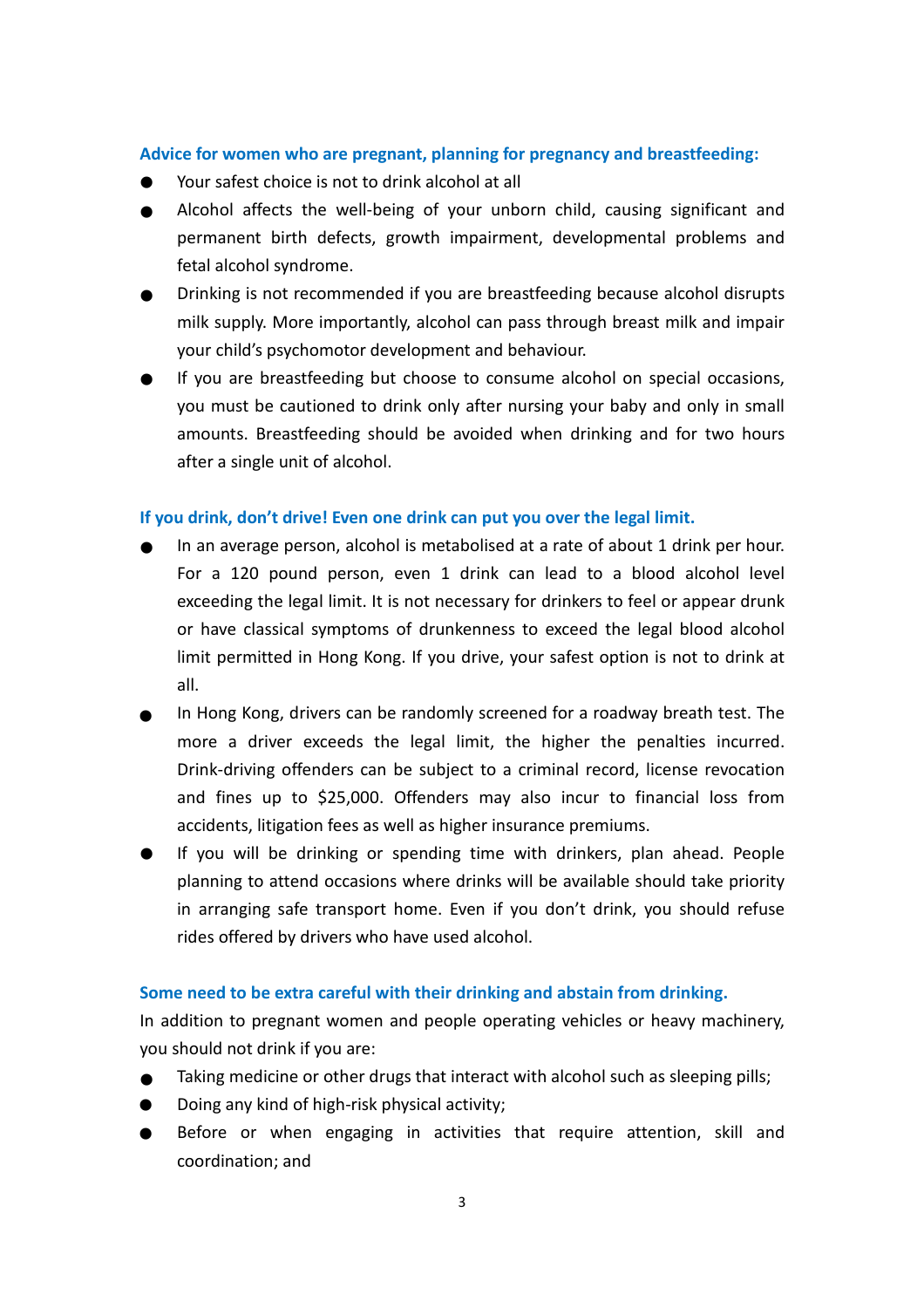# **Advice for women who are pregnant, planning for pregnancy and breastfeeding:**  .

- Your safest choice is not to drink alcohol at all
- Alcohol affects the well-being of your unborn child, causing significant and permanent birth defects, growth impairment, developmental problems and fetal alcohol syndrome. Ad<br>
•<br>
• .
- Drinking is not recommended if you are breastfeeding because alcohol disrupts milk supply. More importantly, alcohol can pass through breast milk and impair your child's psychomotor development and behaviour. .
- If you are breastfeeding but choose to consume alcohol on special occasions, you must be cautioned to drink only after nursing your baby and only in small amounts. Breastfeeding should be avoided when drinking and for two hours after a single unit of alcohol.

### **If you drink, don't drive! Even one drink can put you over the legal limit.**

- In an average person, alcohol is metabolised at a rate of about 1 drink per hour. For a 120 pound person, even 1 drink can lead to a blood alcohol level exceeding the legal limit. It is not necessary for drinkers to feel or appear drunk or have classical symptoms of drunkenness to exceed the legal blood alcohol limit permitted in Hong Kong. If you drive, your safest option is not to drink at all.  $\frac{1}{2}$ . .
- In Hong Kong, drivers can be randomly screened for a roadway breath test. The more a driver exceeds the legal limit, the higher the penalties incurred. Drink-driving offenders can be subject to a criminal record, license revocation and fines up to \$25,000. Offenders may also incur to financial loss from accidents, litigation fees as well as higher insurance premiums. .
- If you will be drinking or spending time with drinkers, plan ahead. People planning to attend occasions where drinks will be available should take priority in arranging safe transport home. Even if you don't drink, you should refuse rides offered by drivers who have used alcohol.

### **Some need to be extra careful with their drinking and abstain from drinking.**

In addition to pregnant women and people operating vehicles or heavy machinery,<br>
you should not drink if you are:<br>
■ Taking medicine or other drugs that interact with alcohol such as sleeping pills;<br>
■ Doing any kind of h you should not drink if you are:<br>■ Taking medicine or other d<br>■ Doing any kind of high-risk

- Taking medicine or other drugs that interact with alcohol such as sleeping pills;
- Doing any kind of high-risk physical activity;
- Before or when engaging in activities that require attention, skill and coordination; and .<br>.<br>.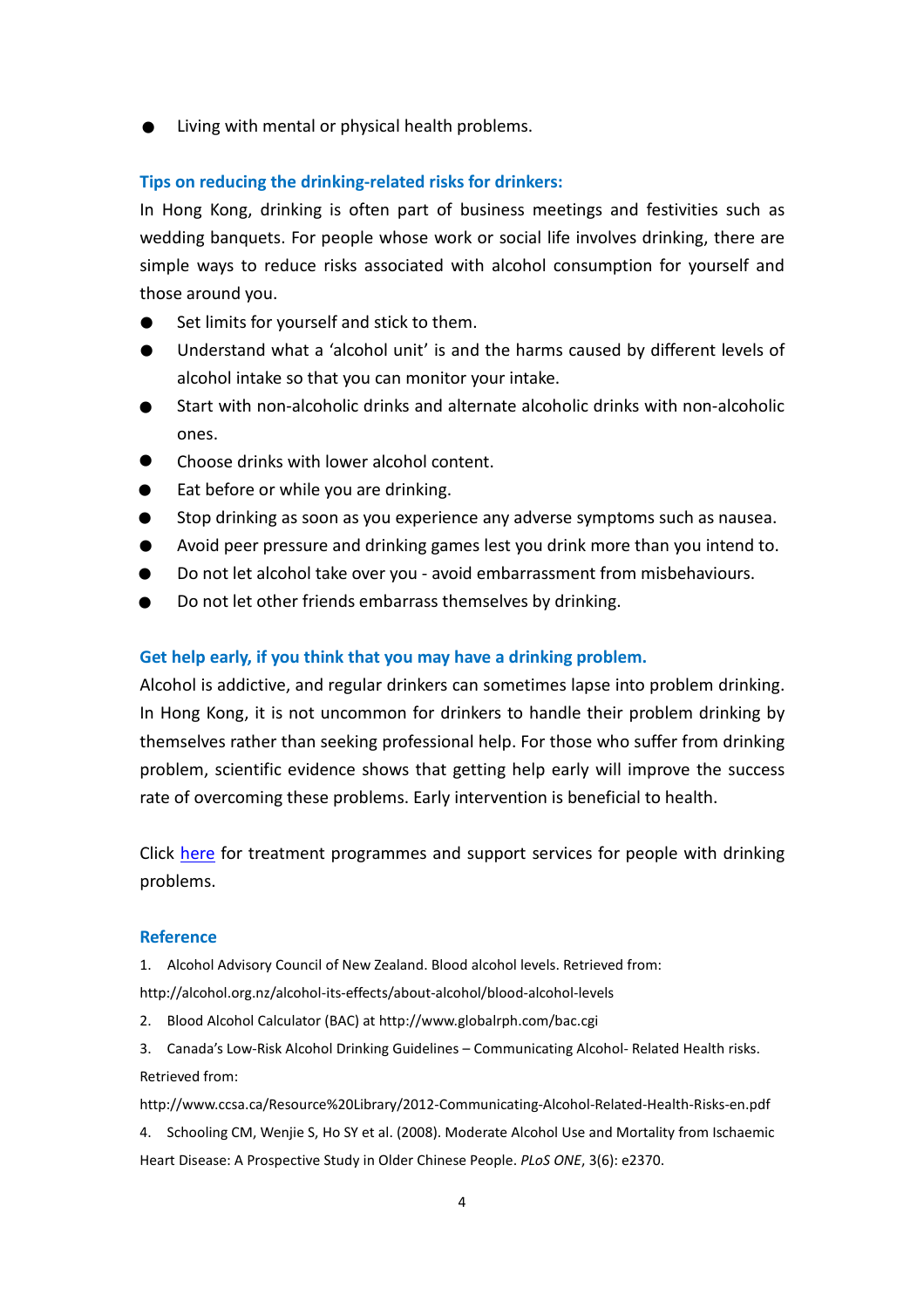Living with mental or physical health problems. .

#### **Tips on reducing the drinking-related risks for drinkers:**

In Hong Kong, drinking is often part of business meetings and festivities such as wedding banquets. For people whose work or social life involves drinking, there are simple ways to reduce risks associated with alcohol consumption for yourself and those around you.  $\sin \theta$ 

- Set limits for yourself and stick to them.
- Understand what a 'alcohol unit' is and the harms caused by different levels of alcohol intake so that you can monitor your intake. tho<br>●<br>● .
- Start with non-alcoholic drinks and alternate alcoholic drinks with non-alcoholic ones. .<br>.<br>. .<br>.<br>.
- Choose drinks with lower alcohol content.
- Eat before or while you are drinking.
- Stop drinking as soon as you experience any adverse symptoms such as nausea. .<br>.<br>. .<br>.<br>. .<br>.<br>.
- Avoid peer pressure and drinking games lest you drink more than you intend to.
- Do not let alcohol take over you avoid embarrassment from misbehaviours.
- Do not let other friends embarrass themselves by drinking. .<br>.<br>.

#### **Get help early, if you think that you may have a drinking problem.**

Alcohol is addictive, and regular drinkers can sometimes lapse into problem drinking. In Hong Kong, it is not uncommon for drinkers to handle their problem drinking by themselves rather than seeking professional help. For those who suffer from drinking problem, scientific evidence shows that getting help early will improve the success rate of overcoming these problems. Early intervention is beneficial to health.

Click [here](http://www.change4health.gov.hk/en/alcohol_aware/facts/affecting/help/index.html) for treatment programmes and support services for people with drinking problems.

#### **Reference**

1. Alcohol Advisory Council of New Zealand. Blood alcohol levels. Retrieved from:

http://alcohol.org.nz/alcohol-its-effects/about-alcohol/blood-alcohol-levels

- 2. Blood Alcohol Calculator (BAC) at http://www.globalrph.com/bac.cgi
- 3. Canada's Low-Risk Alcohol Drinking Guidelines Communicating Alcohol- Related Health risks. Retrieved from:

http://www.ccsa.ca/Resource%20Library/2012-Communicating-Alcohol-Related-Health-Risks-en.pdf

4. Schooling CM, Wenjie S, Ho SY et al. (2008). Moderate Alcohol Use and Mortality from Ischaemic Heart Disease: A Prospective Study in Older Chinese People. *PLoS ONE*, 3(6): e2370.